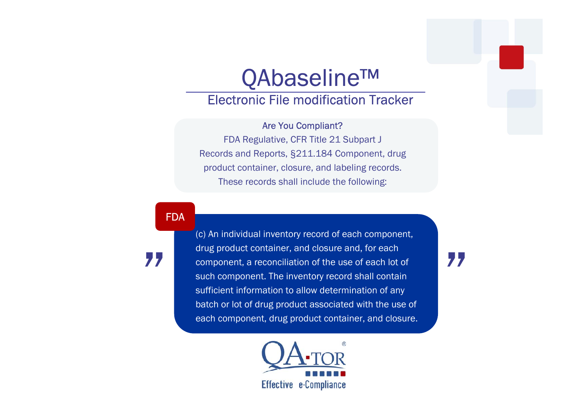## QAbaseline™

## Electronic File modification Tracker

## Are You Compliant?

FDA Regulative, CFR Title 21 Subpart J Records and Reports, §211.184 Component, drug product container, closure, and labeling records. These records shall include the following:

FDA

"

(c) An individual inventory record of each component, drug product container, and closure and, for each component, a reconciliation of the use of each lot of such component. The inventory record shall contain sufficient information to allow determination of any batch or lot of drug product associated with the use of each component, drug product container, and closure.



"